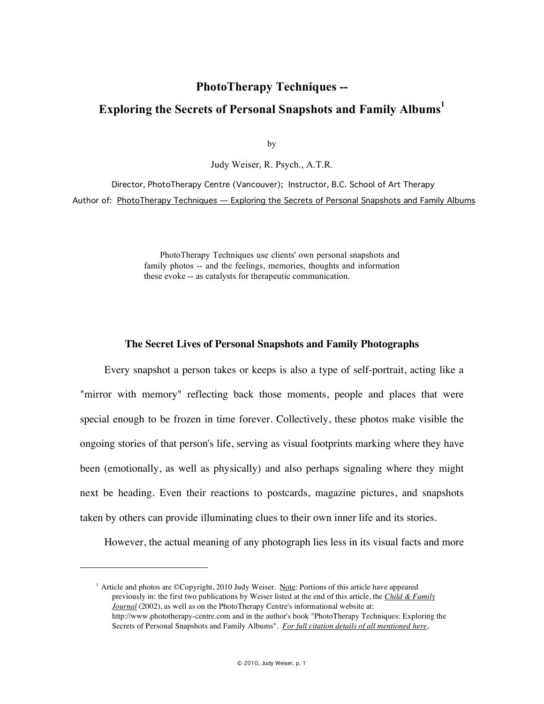## **PhotoTherapy Techniques --**

# **Exploring the Secrets of Personal Snapshots and Family Albums1**

by

Judy Weiser, R. Psych., A.T.R.

 Director, PhotoTherapy Centre (Vancouver); Instructor, B.C. School of Art Therapy Author of: PhotoTherapy Techniques - Exploring the Secrets of Personal Snapshots and Family Albums

> PhotoTherapy Techniques use clients' own personal snapshots and family photos -- and the feelings, memories, thoughts and information these evoke -- as catalysts for therapeutic communication.

#### **The Secret Lives of Personal Snapshots and Family Photographs**

Every snapshot a person takes or keeps is also a type of self-portrait, acting like a "mirror with memory" reflecting back those moments, people and places that were special enough to be frozen in time forever. Collectively, these photos make visible the ongoing stories of that person's life, serving as visual footprints marking where they have been (emotionally, as well as physically) and also perhaps signaling where they might next be heading. Even their reactions to postcards, magazine pictures, and snapshots taken by others can provide illuminating clues to their own inner life and its stories.

However, the actual meaning of any photograph lies less in its visual facts and more

 $\overline{a}$ 

<sup>&</sup>lt;sup>1</sup> Article and photos are ©Copyright, 2010 Judy Weiser. Note: Portions of this article have appeared previously in: the first two publications by Weiser listed at the end of this article, the *Child & Family Journal* (2002), as well as on the PhotoTherapy Centre's informational website at: http://www.phototherapy-centre.com and in the author's book "PhotoTherapy Techniques: Exploring the Secrets of Personal Snapshots and Family Albums". *For full citation details of all mentioned here*,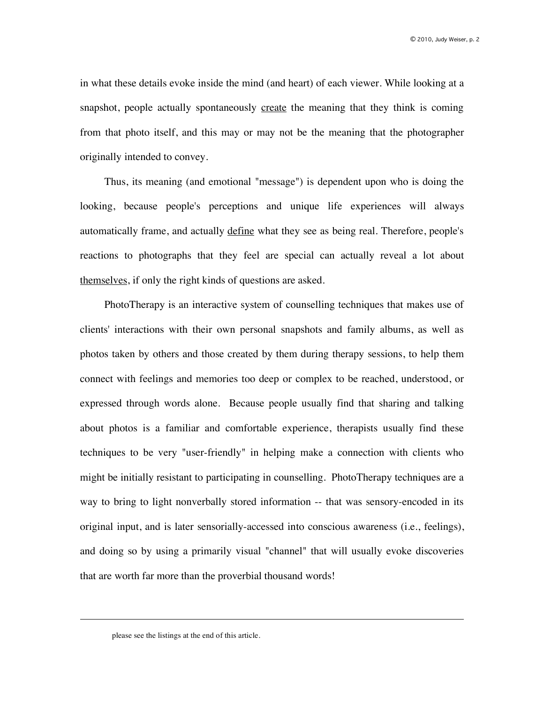in what these details evoke inside the mind (and heart) of each viewer. While looking at a snapshot, people actually spontaneously create the meaning that they think is coming from that photo itself, and this may or may not be the meaning that the photographer originally intended to convey.

Thus, its meaning (and emotional "message") is dependent upon who is doing the looking, because people's perceptions and unique life experiences will always automatically frame, and actually define what they see as being real. Therefore, people's reactions to photographs that they feel are special can actually reveal a lot about themselves, if only the right kinds of questions are asked.

PhotoTherapy is an interactive system of counselling techniques that makes use of clients' interactions with their own personal snapshots and family albums, as well as photos taken by others and those created by them during therapy sessions, to help them connect with feelings and memories too deep or complex to be reached, understood, or expressed through words alone. Because people usually find that sharing and talking about photos is a familiar and comfortable experience, therapists usually find these techniques to be very "user-friendly" in helping make a connection with clients who might be initially resistant to participating in counselling. PhotoTherapy techniques are a way to bring to light nonverbally stored information -- that was sensory-encoded in its original input, and is later sensorially-accessed into conscious awareness (i.e., feelings), and doing so by using a primarily visual "channel" that will usually evoke discoveries that are worth far more than the proverbial thousand words!

 $\overline{a}$ 

please see the listings at the end of this article.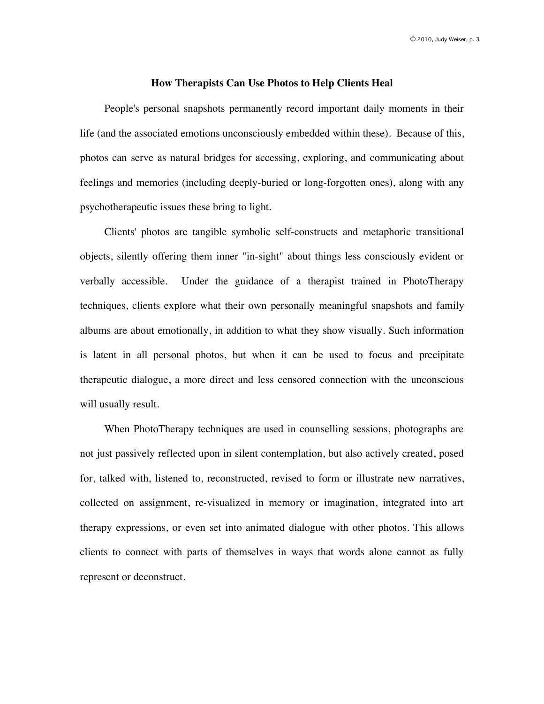#### **How Therapists Can Use Photos to Help Clients Heal**

People's personal snapshots permanently record important daily moments in their life (and the associated emotions unconsciously embedded within these). Because of this, photos can serve as natural bridges for accessing, exploring, and communicating about feelings and memories (including deeply-buried or long-forgotten ones), along with any psychotherapeutic issues these bring to light.

Clients' photos are tangible symbolic self-constructs and metaphoric transitional objects, silently offering them inner "in-sight" about things less consciously evident or verbally accessible. Under the guidance of a therapist trained in PhotoTherapy techniques, clients explore what their own personally meaningful snapshots and family albums are about emotionally, in addition to what they show visually. Such information is latent in all personal photos, but when it can be used to focus and precipitate therapeutic dialogue, a more direct and less censored connection with the unconscious will usually result.

When PhotoTherapy techniques are used in counselling sessions, photographs are not just passively reflected upon in silent contemplation, but also actively created, posed for, talked with, listened to, reconstructed, revised to form or illustrate new narratives, collected on assignment, re-visualized in memory or imagination, integrated into art therapy expressions, or even set into animated dialogue with other photos. This allows clients to connect with parts of themselves in ways that words alone cannot as fully represent or deconstruct.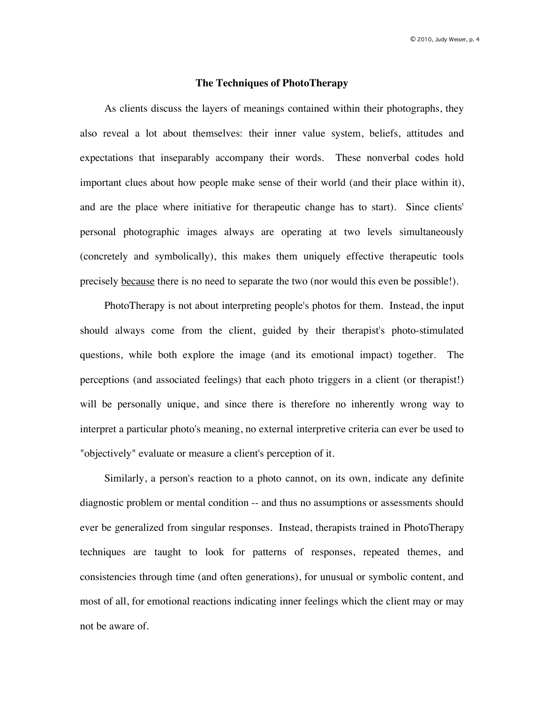#### **The Techniques of PhotoTherapy**

As clients discuss the layers of meanings contained within their photographs, they also reveal a lot about themselves: their inner value system, beliefs, attitudes and expectations that inseparably accompany their words. These nonverbal codes hold important clues about how people make sense of their world (and their place within it), and are the place where initiative for therapeutic change has to start). Since clients' personal photographic images always are operating at two levels simultaneously (concretely and symbolically), this makes them uniquely effective therapeutic tools precisely because there is no need to separate the two (nor would this even be possible!).

PhotoTherapy is not about interpreting people's photos for them. Instead, the input should always come from the client, guided by their therapist's photo-stimulated questions, while both explore the image (and its emotional impact) together. The perceptions (and associated feelings) that each photo triggers in a client (or therapist!) will be personally unique, and since there is therefore no inherently wrong way to interpret a particular photo's meaning, no external interpretive criteria can ever be used to "objectively" evaluate or measure a client's perception of it.

Similarly, a person's reaction to a photo cannot, on its own, indicate any definite diagnostic problem or mental condition -- and thus no assumptions or assessments should ever be generalized from singular responses. Instead, therapists trained in PhotoTherapy techniques are taught to look for patterns of responses, repeated themes, and consistencies through time (and often generations), for unusual or symbolic content, and most of all, for emotional reactions indicating inner feelings which the client may or may not be aware of.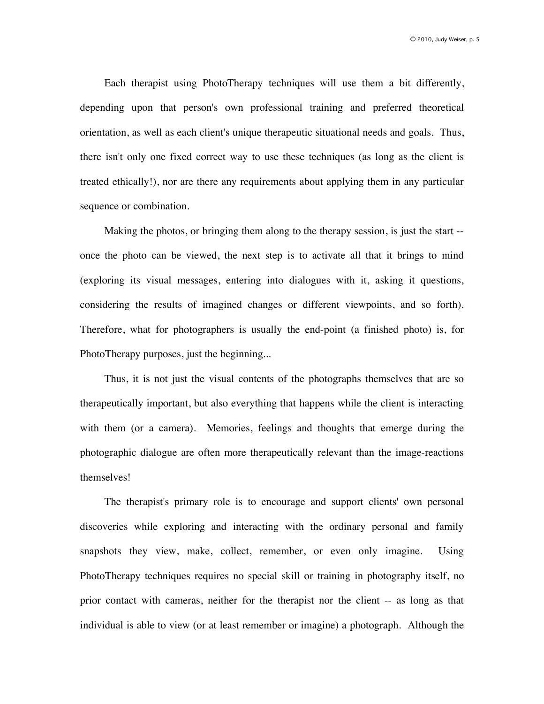Each therapist using PhotoTherapy techniques will use them a bit differently, depending upon that person's own professional training and preferred theoretical orientation, as well as each client's unique therapeutic situational needs and goals. Thus, there isn't only one fixed correct way to use these techniques (as long as the client is treated ethically!), nor are there any requirements about applying them in any particular sequence or combination.

Making the photos, or bringing them along to the therapy session, is just the start - once the photo can be viewed, the next step is to activate all that it brings to mind (exploring its visual messages, entering into dialogues with it, asking it questions, considering the results of imagined changes or different viewpoints, and so forth). Therefore, what for photographers is usually the end-point (a finished photo) is, for PhotoTherapy purposes, just the beginning...

Thus, it is not just the visual contents of the photographs themselves that are so therapeutically important, but also everything that happens while the client is interacting with them (or a camera). Memories, feelings and thoughts that emerge during the photographic dialogue are often more therapeutically relevant than the image-reactions themselves!

The therapist's primary role is to encourage and support clients' own personal discoveries while exploring and interacting with the ordinary personal and family snapshots they view, make, collect, remember, or even only imagine. Using PhotoTherapy techniques requires no special skill or training in photography itself, no prior contact with cameras, neither for the therapist nor the client -- as long as that individual is able to view (or at least remember or imagine) a photograph. Although the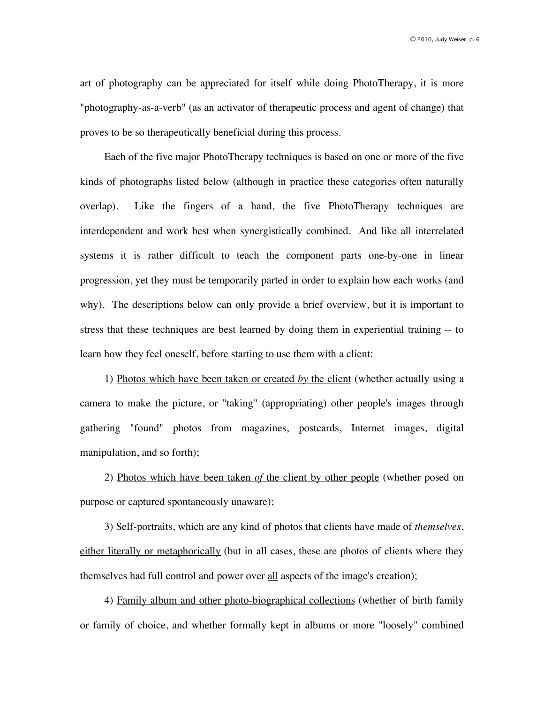art of photography can be appreciated for itself while doing PhotoTherapy, it is more "photography-as-a-verb" (as an activator of therapeutic process and agent of change) that proves to be so therapeutically beneficial during this process.

Each of the five major PhotoTherapy techniques is based on one or more of the five kinds of photographs listed below (although in practice these categories often naturally overlap). Like the fingers of a hand, the five PhotoTherapy techniques are interdependent and work best when synergistically combined. And like all interrelated systems it is rather difficult to teach the component parts one-by-one in linear progression, yet they must be temporarily parted in order to explain how each works (and why). The descriptions below can only provide a brief overview, but it is important to stress that these techniques are best learned by doing them in experiential training -- to learn how they feel oneself, before starting to use them with a client:

1) Photos which have been taken or created *by* the client (whether actually using a camera to make the picture, or "taking" (appropriating) other people's images through gathering "found" photos from magazines, postcards, Internet images, digital manipulation, and so forth);

2) Photos which have been taken *of* the client by other people (whether posed on purpose or captured spontaneously unaware);

3) Self-portraits, which are any kind of photos that clients have made of *themselves*, either literally or metaphorically (but in all cases, these are photos of clients where they themselves had full control and power over all aspects of the image's creation);

4) Family album and other photo-biographical collections (whether of birth family or family of choice, and whether formally kept in albums or more "loosely" combined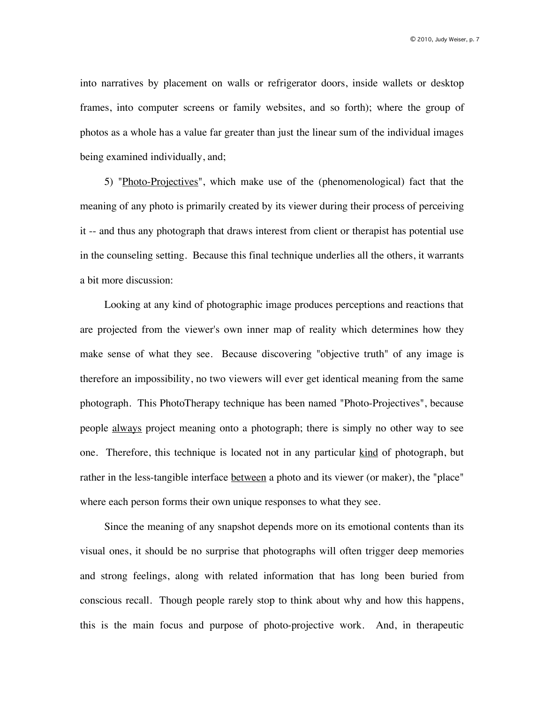into narratives by placement on walls or refrigerator doors, inside wallets or desktop frames, into computer screens or family websites, and so forth); where the group of photos as a whole has a value far greater than just the linear sum of the individual images being examined individually, and;

5) "Photo-Projectives", which make use of the (phenomenological) fact that the meaning of any photo is primarily created by its viewer during their process of perceiving it -- and thus any photograph that draws interest from client or therapist has potential use in the counseling setting. Because this final technique underlies all the others, it warrants a bit more discussion:

Looking at any kind of photographic image produces perceptions and reactions that are projected from the viewer's own inner map of reality which determines how they make sense of what they see. Because discovering "objective truth" of any image is therefore an impossibility, no two viewers will ever get identical meaning from the same photograph. This PhotoTherapy technique has been named "Photo-Projectives", because people always project meaning onto a photograph; there is simply no other way to see one. Therefore, this technique is located not in any particular kind of photograph, but rather in the less-tangible interface between a photo and its viewer (or maker), the "place" where each person forms their own unique responses to what they see.

Since the meaning of any snapshot depends more on its emotional contents than its visual ones, it should be no surprise that photographs will often trigger deep memories and strong feelings, along with related information that has long been buried from conscious recall. Though people rarely stop to think about why and how this happens, this is the main focus and purpose of photo-projective work. And, in therapeutic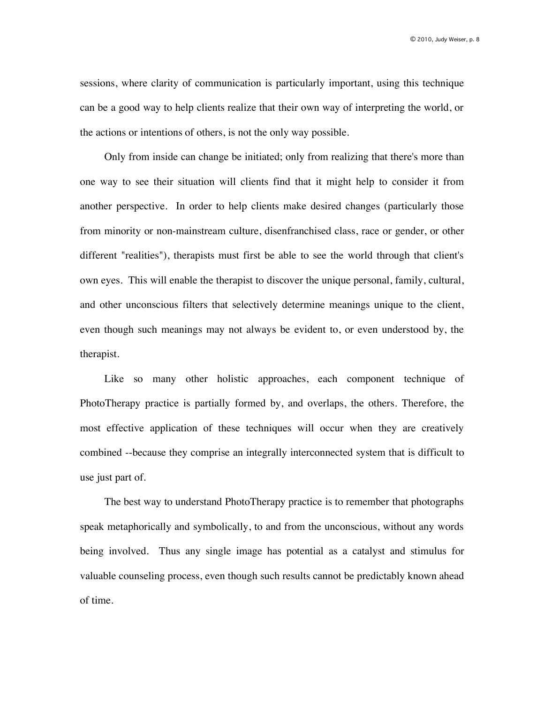sessions, where clarity of communication is particularly important, using this technique can be a good way to help clients realize that their own way of interpreting the world, or the actions or intentions of others, is not the only way possible.

Only from inside can change be initiated; only from realizing that there's more than one way to see their situation will clients find that it might help to consider it from another perspective. In order to help clients make desired changes (particularly those from minority or non-mainstream culture, disenfranchised class, race or gender, or other different "realities"), therapists must first be able to see the world through that client's own eyes. This will enable the therapist to discover the unique personal, family, cultural, and other unconscious filters that selectively determine meanings unique to the client, even though such meanings may not always be evident to, or even understood by, the therapist.

Like so many other holistic approaches, each component technique of PhotoTherapy practice is partially formed by, and overlaps, the others. Therefore, the most effective application of these techniques will occur when they are creatively combined --because they comprise an integrally interconnected system that is difficult to use just part of.

The best way to understand PhotoTherapy practice is to remember that photographs speak metaphorically and symbolically, to and from the unconscious, without any words being involved. Thus any single image has potential as a catalyst and stimulus for valuable counseling process, even though such results cannot be predictably known ahead of time.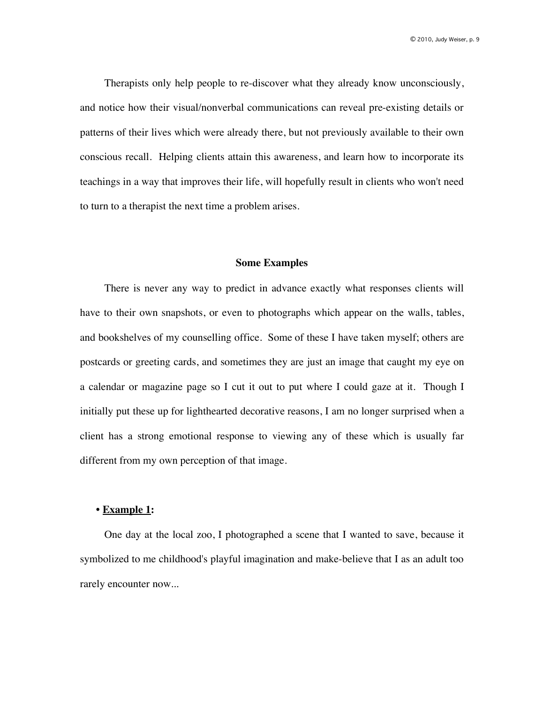Therapists only help people to re-discover what they already know unconsciously, and notice how their visual/nonverbal communications can reveal pre-existing details or patterns of their lives which were already there, but not previously available to their own conscious recall. Helping clients attain this awareness, and learn how to incorporate its teachings in a way that improves their life, will hopefully result in clients who won't need to turn to a therapist the next time a problem arises.

#### **Some Examples**

There is never any way to predict in advance exactly what responses clients will have to their own snapshots, or even to photographs which appear on the walls, tables, and bookshelves of my counselling office. Some of these I have taken myself; others are postcards or greeting cards, and sometimes they are just an image that caught my eye on a calendar or magazine page so I cut it out to put where I could gaze at it. Though I initially put these up for lighthearted decorative reasons, I am no longer surprised when a client has a strong emotional response to viewing any of these which is usually far different from my own perception of that image.

### **• Example 1:**

One day at the local zoo, I photographed a scene that I wanted to save, because it symbolized to me childhood's playful imagination and make-believe that I as an adult too rarely encounter now...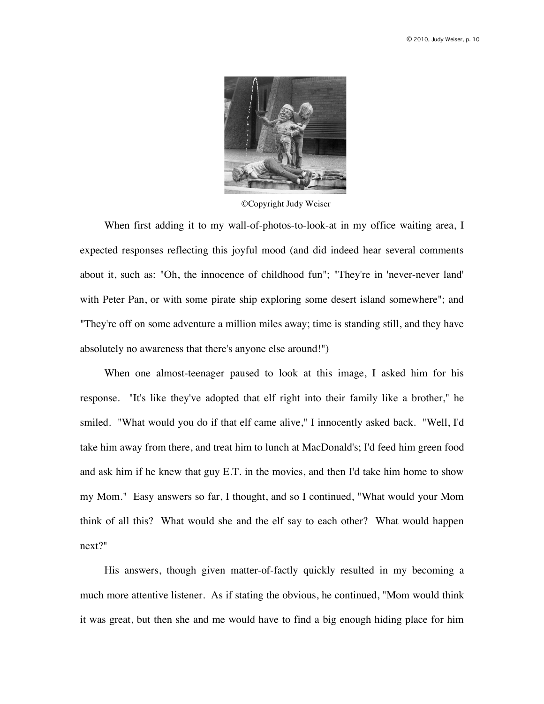

©Copyright Judy Weiser

When first adding it to my wall-of-photos-to-look-at in my office waiting area, I expected responses reflecting this joyful mood (and did indeed hear several comments about it, such as: "Oh, the innocence of childhood fun"; "They're in 'never-never land' with Peter Pan, or with some pirate ship exploring some desert island somewhere"; and "They're off on some adventure a million miles away; time is standing still, and they have absolutely no awareness that there's anyone else around!")

When one almost-teenager paused to look at this image, I asked him for his response. "It's like they've adopted that elf right into their family like a brother," he smiled. "What would you do if that elf came alive," I innocently asked back. "Well, I'd take him away from there, and treat him to lunch at MacDonald's; I'd feed him green food and ask him if he knew that guy E.T. in the movies, and then I'd take him home to show my Mom." Easy answers so far, I thought, and so I continued, "What would your Mom think of all this? What would she and the elf say to each other? What would happen next?"

His answers, though given matter-of-factly quickly resulted in my becoming a much more attentive listener. As if stating the obvious, he continued, "Mom would think it was great, but then she and me would have to find a big enough hiding place for him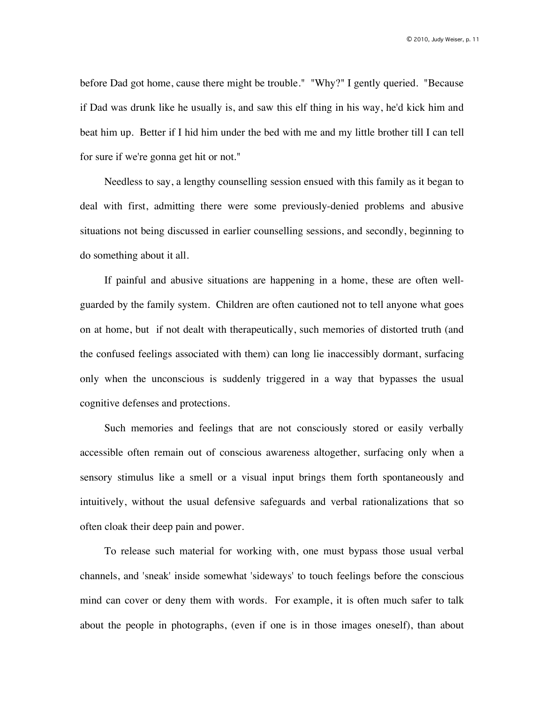before Dad got home, cause there might be trouble." "Why?" I gently queried. "Because if Dad was drunk like he usually is, and saw this elf thing in his way, he'd kick him and beat him up. Better if I hid him under the bed with me and my little brother till I can tell for sure if we're gonna get hit or not."

Needless to say, a lengthy counselling session ensued with this family as it began to deal with first, admitting there were some previously-denied problems and abusive situations not being discussed in earlier counselling sessions, and secondly, beginning to do something about it all.

If painful and abusive situations are happening in a home, these are often wellguarded by the family system. Children are often cautioned not to tell anyone what goes on at home, but if not dealt with therapeutically, such memories of distorted truth (and the confused feelings associated with them) can long lie inaccessibly dormant, surfacing only when the unconscious is suddenly triggered in a way that bypasses the usual cognitive defenses and protections.

Such memories and feelings that are not consciously stored or easily verbally accessible often remain out of conscious awareness altogether, surfacing only when a sensory stimulus like a smell or a visual input brings them forth spontaneously and intuitively, without the usual defensive safeguards and verbal rationalizations that so often cloak their deep pain and power.

To release such material for working with, one must bypass those usual verbal channels, and 'sneak' inside somewhat 'sideways' to touch feelings before the conscious mind can cover or deny them with words. For example, it is often much safer to talk about the people in photographs, (even if one is in those images oneself), than about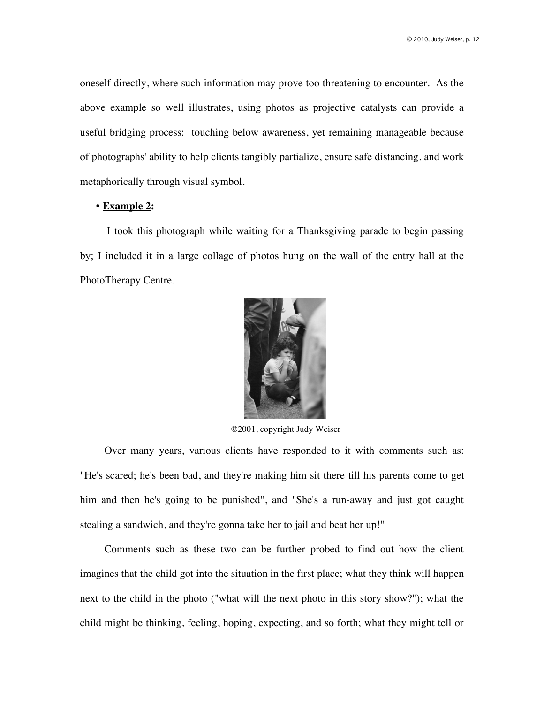oneself directly, where such information may prove too threatening to encounter. As the above example so well illustrates, using photos as projective catalysts can provide a useful bridging process: touching below awareness, yet remaining manageable because of photographs' ability to help clients tangibly partialize, ensure safe distancing, and work metaphorically through visual symbol.

### **• Example 2:**

 I took this photograph while waiting for a Thanksgiving parade to begin passing by; I included it in a large collage of photos hung on the wall of the entry hall at the PhotoTherapy Centre.



©2001, copyright Judy Weiser

Over many years, various clients have responded to it with comments such as: "He's scared; he's been bad, and they're making him sit there till his parents come to get him and then he's going to be punished", and "She's a run-away and just got caught stealing a sandwich, and they're gonna take her to jail and beat her up!"

Comments such as these two can be further probed to find out how the client imagines that the child got into the situation in the first place; what they think will happen next to the child in the photo ("what will the next photo in this story show?"); what the child might be thinking, feeling, hoping, expecting, and so forth; what they might tell or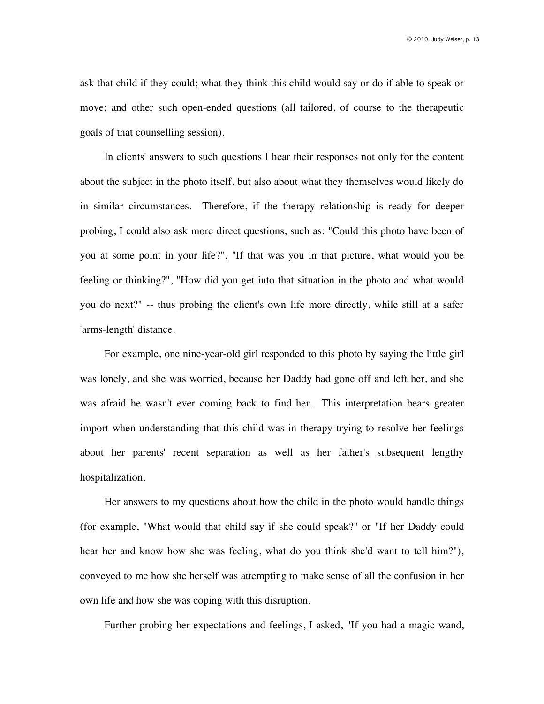ask that child if they could; what they think this child would say or do if able to speak or move; and other such open-ended questions (all tailored, of course to the therapeutic goals of that counselling session).

In clients' answers to such questions I hear their responses not only for the content about the subject in the photo itself, but also about what they themselves would likely do in similar circumstances. Therefore, if the therapy relationship is ready for deeper probing, I could also ask more direct questions, such as: "Could this photo have been of you at some point in your life?", "If that was you in that picture, what would you be feeling or thinking?", "How did you get into that situation in the photo and what would you do next?" -- thus probing the client's own life more directly, while still at a safer 'arms-length' distance.

For example, one nine-year-old girl responded to this photo by saying the little girl was lonely, and she was worried, because her Daddy had gone off and left her, and she was afraid he wasn't ever coming back to find her. This interpretation bears greater import when understanding that this child was in therapy trying to resolve her feelings about her parents' recent separation as well as her father's subsequent lengthy hospitalization.

Her answers to my questions about how the child in the photo would handle things (for example, "What would that child say if she could speak?" or "If her Daddy could hear her and know how she was feeling, what do you think she'd want to tell him?"), conveyed to me how she herself was attempting to make sense of all the confusion in her own life and how she was coping with this disruption.

Further probing her expectations and feelings, I asked, "If you had a magic wand,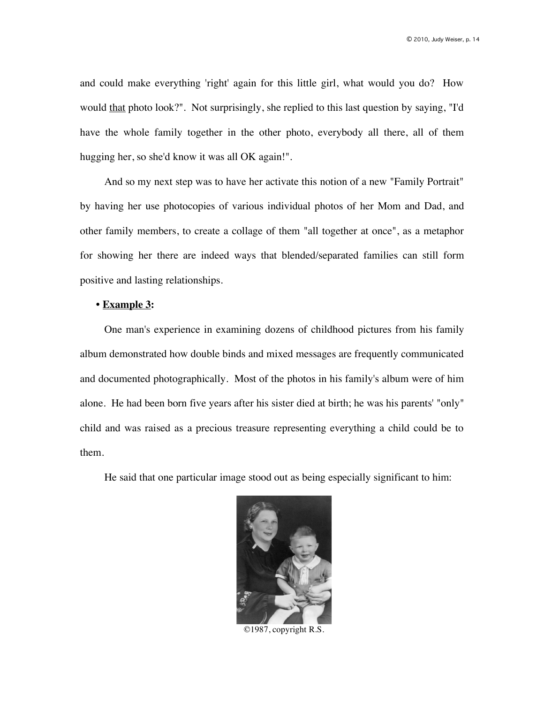and could make everything 'right' again for this little girl, what would you do? How would that photo look?". Not surprisingly, she replied to this last question by saying, "I'd" have the whole family together in the other photo, everybody all there, all of them hugging her, so she'd know it was all OK again!".

And so my next step was to have her activate this notion of a new "Family Portrait" by having her use photocopies of various individual photos of her Mom and Dad, and other family members, to create a collage of them "all together at once", as a metaphor for showing her there are indeed ways that blended/separated families can still form positive and lasting relationships.

## **• Example 3:**

One man's experience in examining dozens of childhood pictures from his family album demonstrated how double binds and mixed messages are frequently communicated and documented photographically. Most of the photos in his family's album were of him alone. He had been born five years after his sister died at birth; he was his parents' "only" child and was raised as a precious treasure representing everything a child could be to them.

He said that one particular image stood out as being especially significant to him:



©1987, copyright R.S.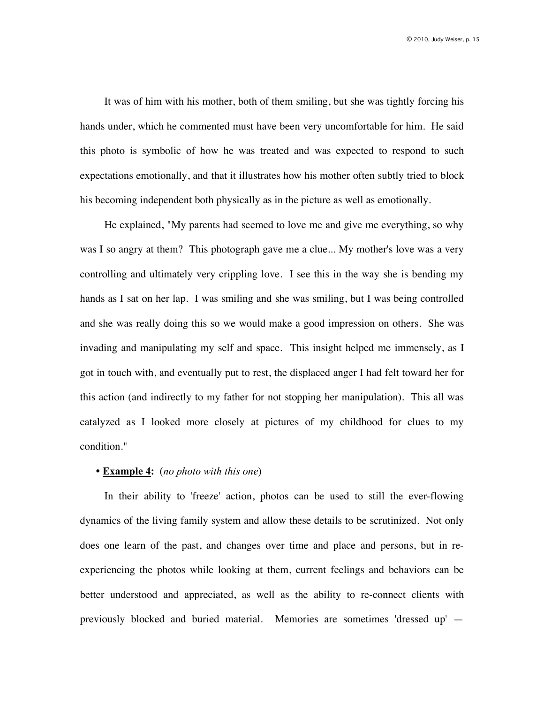It was of him with his mother, both of them smiling, but she was tightly forcing his hands under, which he commented must have been very uncomfortable for him. He said this photo is symbolic of how he was treated and was expected to respond to such expectations emotionally, and that it illustrates how his mother often subtly tried to block his becoming independent both physically as in the picture as well as emotionally.

He explained, "My parents had seemed to love me and give me everything, so why was I so angry at them? This photograph gave me a clue... My mother's love was a very controlling and ultimately very crippling love. I see this in the way she is bending my hands as I sat on her lap. I was smiling and she was smiling, but I was being controlled and she was really doing this so we would make a good impression on others. She was invading and manipulating my self and space. This insight helped me immensely, as I got in touch with, and eventually put to rest, the displaced anger I had felt toward her for this action (and indirectly to my father for not stopping her manipulation). This all was catalyzed as I looked more closely at pictures of my childhood for clues to my condition."

## **• Example 4:** (*no photo with this one*)

In their ability to 'freeze' action, photos can be used to still the ever-flowing dynamics of the living family system and allow these details to be scrutinized. Not only does one learn of the past, and changes over time and place and persons, but in reexperiencing the photos while looking at them, current feelings and behaviors can be better understood and appreciated, as well as the ability to re-connect clients with previously blocked and buried material. Memories are sometimes 'dressed up' —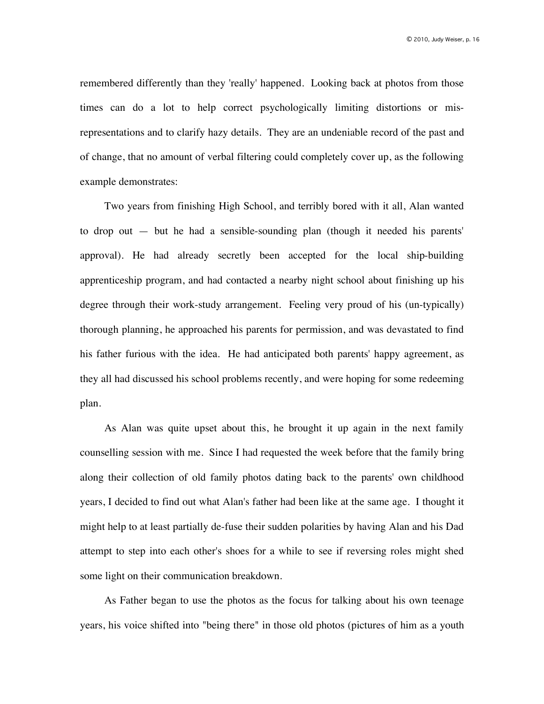remembered differently than they 'really' happened. Looking back at photos from those times can do a lot to help correct psychologically limiting distortions or misrepresentations and to clarify hazy details. They are an undeniable record of the past and of change, that no amount of verbal filtering could completely cover up, as the following example demonstrates:

Two years from finishing High School, and terribly bored with it all, Alan wanted to drop out — but he had a sensible-sounding plan (though it needed his parents' approval). He had already secretly been accepted for the local ship-building apprenticeship program, and had contacted a nearby night school about finishing up his degree through their work-study arrangement. Feeling very proud of his (un-typically) thorough planning, he approached his parents for permission, and was devastated to find his father furious with the idea. He had anticipated both parents' happy agreement, as they all had discussed his school problems recently, and were hoping for some redeeming plan.

As Alan was quite upset about this, he brought it up again in the next family counselling session with me. Since I had requested the week before that the family bring along their collection of old family photos dating back to the parents' own childhood years, I decided to find out what Alan's father had been like at the same age. I thought it might help to at least partially de-fuse their sudden polarities by having Alan and his Dad attempt to step into each other's shoes for a while to see if reversing roles might shed some light on their communication breakdown.

As Father began to use the photos as the focus for talking about his own teenage years, his voice shifted into "being there" in those old photos (pictures of him as a youth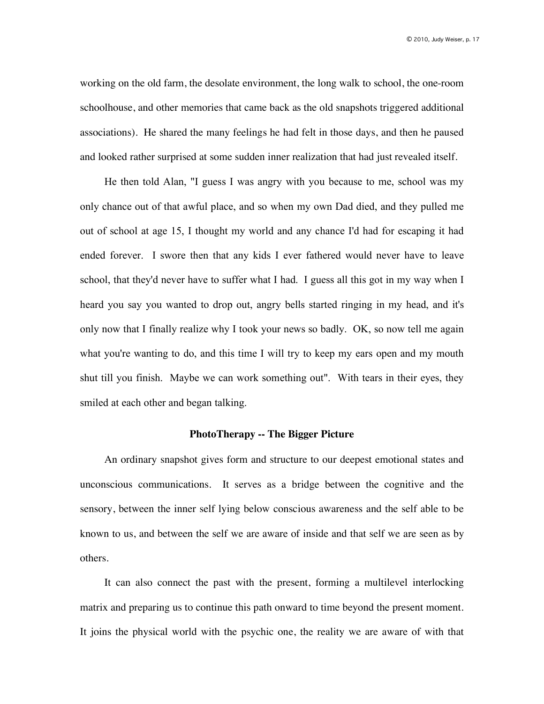working on the old farm, the desolate environment, the long walk to school, the one-room schoolhouse, and other memories that came back as the old snapshots triggered additional associations). He shared the many feelings he had felt in those days, and then he paused and looked rather surprised at some sudden inner realization that had just revealed itself.

He then told Alan, "I guess I was angry with you because to me, school was my only chance out of that awful place, and so when my own Dad died, and they pulled me out of school at age 15, I thought my world and any chance I'd had for escaping it had ended forever. I swore then that any kids I ever fathered would never have to leave school, that they'd never have to suffer what I had. I guess all this got in my way when I heard you say you wanted to drop out, angry bells started ringing in my head, and it's only now that I finally realize why I took your news so badly. OK, so now tell me again what you're wanting to do, and this time I will try to keep my ears open and my mouth shut till you finish. Maybe we can work something out". With tears in their eyes, they smiled at each other and began talking.

#### **PhotoTherapy -- The Bigger Picture**

An ordinary snapshot gives form and structure to our deepest emotional states and unconscious communications. It serves as a bridge between the cognitive and the sensory, between the inner self lying below conscious awareness and the self able to be known to us, and between the self we are aware of inside and that self we are seen as by others.

It can also connect the past with the present, forming a multilevel interlocking matrix and preparing us to continue this path onward to time beyond the present moment. It joins the physical world with the psychic one, the reality we are aware of with that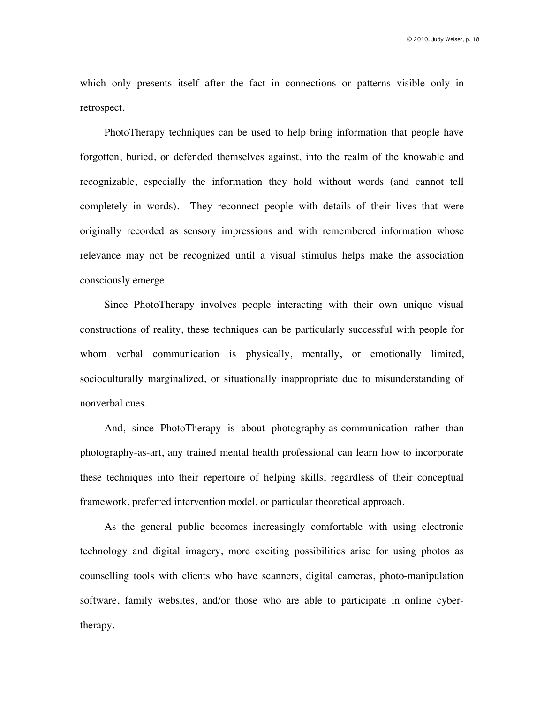which only presents itself after the fact in connections or patterns visible only in retrospect.

PhotoTherapy techniques can be used to help bring information that people have forgotten, buried, or defended themselves against, into the realm of the knowable and recognizable, especially the information they hold without words (and cannot tell completely in words). They reconnect people with details of their lives that were originally recorded as sensory impressions and with remembered information whose relevance may not be recognized until a visual stimulus helps make the association consciously emerge.

Since PhotoTherapy involves people interacting with their own unique visual constructions of reality, these techniques can be particularly successful with people for whom verbal communication is physically, mentally, or emotionally limited, socioculturally marginalized, or situationally inappropriate due to misunderstanding of nonverbal cues.

And, since PhotoTherapy is about photography-as-communication rather than photography-as-art, any trained mental health professional can learn how to incorporate these techniques into their repertoire of helping skills, regardless of their conceptual framework, preferred intervention model, or particular theoretical approach.

As the general public becomes increasingly comfortable with using electronic technology and digital imagery, more exciting possibilities arise for using photos as counselling tools with clients who have scanners, digital cameras, photo-manipulation software, family websites, and/or those who are able to participate in online cybertherapy.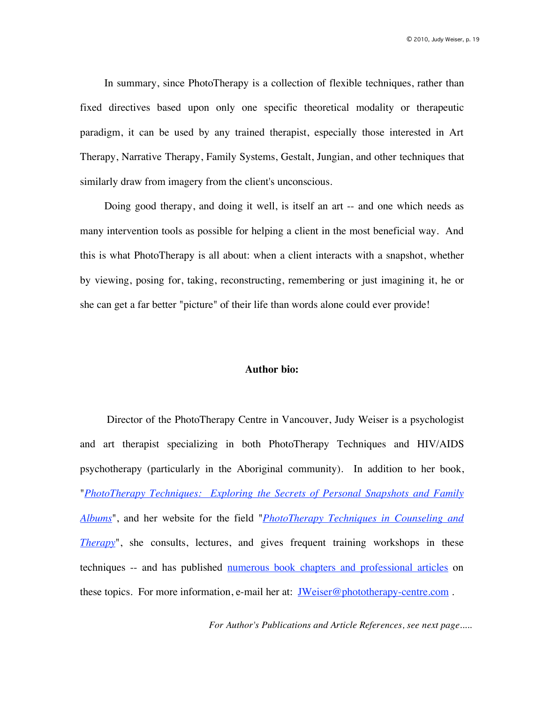In summary, since PhotoTherapy is a collection of flexible techniques, rather than fixed directives based upon only one specific theoretical modality or therapeutic paradigm, it can be used by any trained therapist, especially those interested in Art Therapy, Narrative Therapy, Family Systems, Gestalt, Jungian, and other techniques that similarly draw from imagery from the client's unconscious.

Doing good therapy, and doing it well, is itself an art -- and one which needs as many intervention tools as possible for helping a client in the most beneficial way. And this is what PhotoTherapy is all about: when a client interacts with a snapshot, whether by viewing, posing for, taking, reconstructing, remembering or just imagining it, he or she can get a far better "picture" of their life than words alone could ever provide!

#### **Author bio:**

 Director of the PhotoTherapy Centre in Vancouver, Judy Weiser is a psychologist and art therapist specializing in both PhotoTherapy Techniques and HIV/AIDS psychotherapy (particularly in the Aboriginal community). In addition to her book, "*PhotoTherapy Techniques: Exploring the Secrets of Personal Snapshots and Family Albums*", and her website for the field "*PhotoTherapy Techniques in Counseling and Therapy*", she consults, lectures, and gives frequent training workshops in these techniques -- and has published numerous book chapters and professional articles on these topics. For more information, e-mail her at: JWeiser@phototherapy-centre.com .

*For Author's Publications and Article References, see next page.....*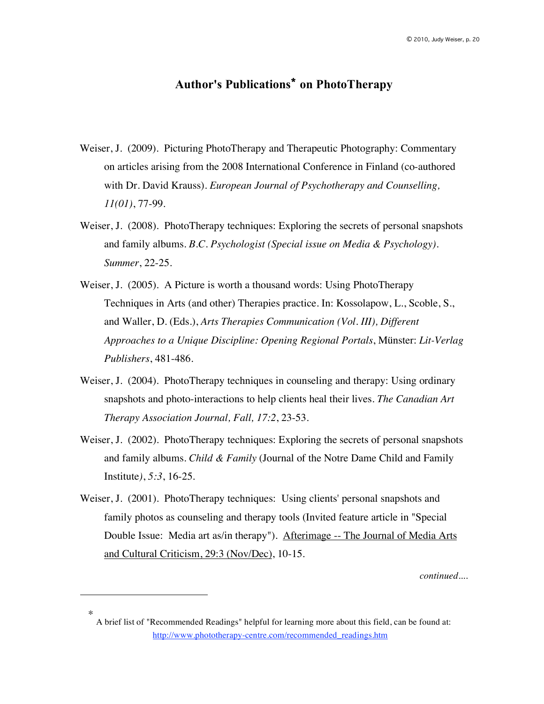# **Author's Publications\* on PhotoTherapy**

- Weiser, J. (2009). Picturing PhotoTherapy and Therapeutic Photography: Commentary on articles arising from the 2008 International Conference in Finland (co-authored with Dr. David Krauss). *European Journal of Psychotherapy and Counselling, 11(01)*, 77-99.
- Weiser, J. (2008). PhotoTherapy techniques: Exploring the secrets of personal snapshots and family albums. *B.C. Psychologist (Special issue on Media & Psychology). Summer*, 22-25.
- Weiser, J. (2005). A Picture is worth a thousand words: Using PhotoTherapy Techniques in Arts (and other) Therapies practice. In: Kossolapow, L., Scoble, S., and Waller, D. (Eds.), *Arts Therapies Communication (Vol. III), Different Approaches to a Unique Discipline: Opening Regional Portals*, Münster: *Lit-Verlag Publishers*, 481-486.
- Weiser, J. (2004). PhotoTherapy techniques in counseling and therapy: Using ordinary snapshots and photo-interactions to help clients heal their lives. *The Canadian Art Therapy Association Journal, Fall, 17:2*, 23-53.
- Weiser, J. (2002). PhotoTherapy techniques: Exploring the secrets of personal snapshots and family albums. *Child & Family* (Journal of the Notre Dame Child and Family Institute*)*, *5:3*, 16-25.
- Weiser, J. (2001). PhotoTherapy techniques: Using clients' personal snapshots and family photos as counseling and therapy tools (Invited feature article in "Special Double Issue: Media art as/in therapy"). Afterimage -- The Journal of Media Arts and Cultural Criticism, 29:3 (Nov/Dec), 10-15.

*continued....*

 $\overline{a}$ 

<sup>\*</sup> A brief list of "Recommended Readings" helpful for learning more about this field, can be found at: http://www.phototherapy-centre.com/recommended\_readings.htm